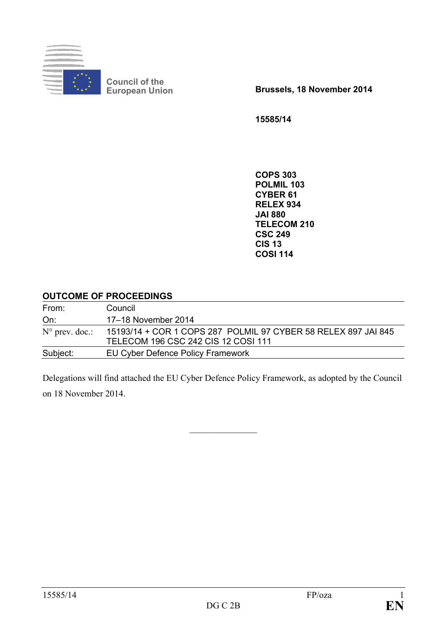

**Council of the**

**European Union Brussels, 18 November 2014**

**15585/14**

**COPS 303 POLMIL 103 CYBER 61 RELEX 934 JAI 880 TELECOM 210 CSC 249 CIS 13 COSI 114**

### **OUTCOME OF PROCEEDINGS**

| From:                   | Council                                                                                               |
|-------------------------|-------------------------------------------------------------------------------------------------------|
| On:                     | 17-18 November 2014                                                                                   |
| $N^{\circ}$ prev. doc.: | 15193/14 + COR 1 COPS 287 POLMIL 97 CYBER 58 RELEX 897 JAI 845<br>TELECOM 196 CSC 242 CIS 12 COSI 111 |
| Subject:                | EU Cyber Defence Policy Framework                                                                     |

Delegations will find attached the EU Cyber Defence Policy Framework, as adopted by the Council on 18 November 2014.

 $\mathcal{L}$  , we have the set of the set of the set of the set of the set of the set of the set of the set of the set of the set of the set of the set of the set of the set of the set of the set of the set of the set of the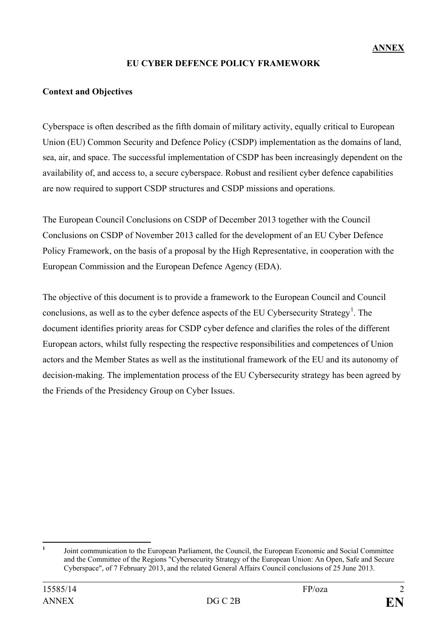## **EU CYBER DEFENCE POLICY FRAMEWORK**

### **Context and Objectives**

Cyberspace is often described as the fifth domain of military activity, equally critical to European Union (EU) Common Security and Defence Policy (CSDP) implementation as the domains of land, sea, air, and space. The successful implementation of CSDP has been increasingly dependent on the availability of, and access to, a secure cyberspace. Robust and resilient cyber defence capabilities are now required to support CSDP structures and CSDP missions and operations.

The European Council Conclusions on CSDP of December 2013 together with the Council Conclusions on CSDP of November 2013 called for the development of an EU Cyber Defence Policy Framework, on the basis of a proposal by the High Representative, in cooperation with the European Commission and the European Defence Agency (EDA).

The objective of this document is to provide a framework to the European Council and Council conclusions, as well as to the cyber defence aspects of the EU Cybersecurity Strategy<sup>[1](#page-1-0)</sup>. The document identifies priority areas for CSDP cyber defence and clarifies the roles of the different European actors, whilst fully respecting the respective responsibilities and competences of Union actors and the Member States as well as the institutional framework of the EU and its autonomy of decision-making. The implementation process of the EU Cybersecurity strategy has been agreed by the Friends of the Presidency Group on Cyber Issues.

<span id="page-1-0"></span>**<sup>1</sup>** Joint communication to the European Parliament, the Council, the European Economic and Social Committee and the Committee of the Regions "Cybersecurity Strategy of the European Union: An Open, Safe and Secure Cyberspace", of 7 February 2013, and the related General Affairs Council conclusions of 25 June 2013.  $\mathbf{1}$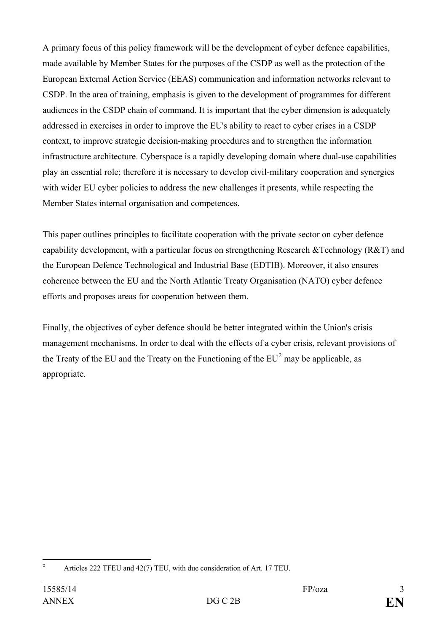A primary focus of this policy framework will be the development of cyber defence capabilities, made available by Member States for the purposes of the CSDP as well as the protection of the European External Action Service (EEAS) communication and information networks relevant to CSDP. In the area of training, emphasis is given to the development of programmes for different audiences in the CSDP chain of command. It is important that the cyber dimension is adequately addressed in exercises in order to improve the EU's ability to react to cyber crises in a CSDP context, to improve strategic decision-making procedures and to strengthen the information infrastructure architecture. Cyberspace is a rapidly developing domain where dual-use capabilities play an essential role; therefore it is necessary to develop civil-military cooperation and synergies with wider EU cyber policies to address the new challenges it presents, while respecting the Member States internal organisation and competences.

This paper outlines principles to facilitate cooperation with the private sector on cyber defence capability development, with a particular focus on strengthening Research &Technology (R&T) and the European Defence Technological and Industrial Base (EDTIB). Moreover, it also ensures coherence between the EU and the North Atlantic Treaty Organisation (NATO) cyber defence efforts and proposes areas for cooperation between them.

Finally, the objectives of cyber defence should be better integrated within the Union's crisis management mechanisms. In order to deal with the effects of a cyber crisis, relevant provisions of the Treaty of the EU and the Treaty on the Functioning of the  $EU^2$  $EU^2$  may be applicable, as appropriate.

<span id="page-2-0"></span>**<sup>2</sup>** Articles 222 TFEU and 42(7) TEU, with due consideration of Art. 17 TEU.  $\overline{2}$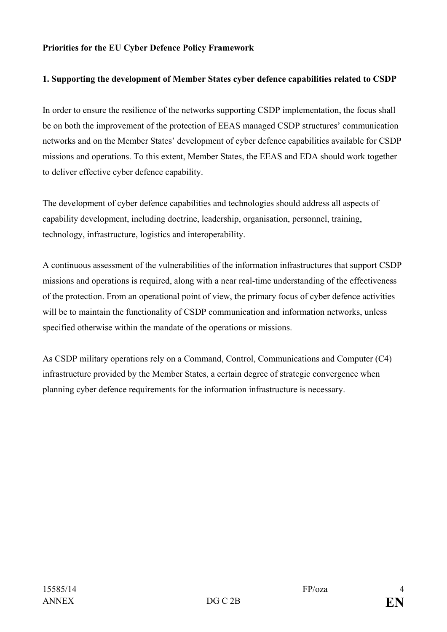#### **Priorities for the EU Cyber Defence Policy Framework**

#### **1. Supporting the development of Member States cyber defence capabilities related to CSDP**

In order to ensure the resilience of the networks supporting CSDP implementation, the focus shall be on both the improvement of the protection of EEAS managed CSDP structures' communication networks and on the Member States' development of cyber defence capabilities available for CSDP missions and operations. To this extent, Member States, the EEAS and EDA should work together to deliver effective cyber defence capability.

The development of cyber defence capabilities and technologies should address all aspects of capability development, including doctrine, leadership, organisation, personnel, training, technology, infrastructure, logistics and interoperability.

A continuous assessment of the vulnerabilities of the information infrastructures that support CSDP missions and operations is required, along with a near real-time understanding of the effectiveness of the protection. From an operational point of view, the primary focus of cyber defence activities will be to maintain the functionality of CSDP communication and information networks, unless specified otherwise within the mandate of the operations or missions.

As CSDP military operations rely on a Command, Control, Communications and Computer (C4) infrastructure provided by the Member States, a certain degree of strategic convergence when planning cyber defence requirements for the information infrastructure is necessary.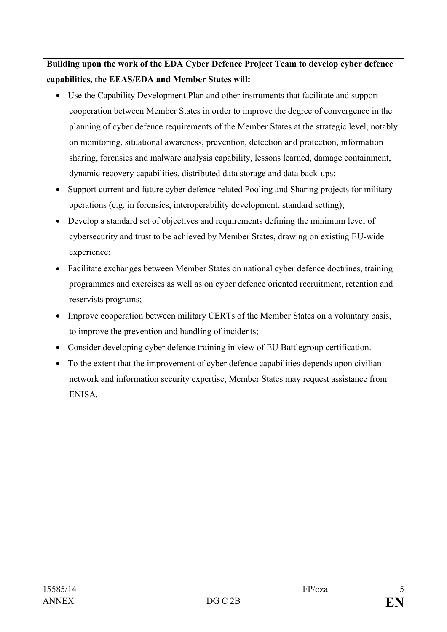**Building upon the work of the EDA Cyber Defence Project Team to develop cyber defence capabilities, the EEAS/EDA and Member States will:** 

- Use the Capability Development Plan and other instruments that facilitate and support cooperation between Member States in order to improve the degree of convergence in the planning of cyber defence requirements of the Member States at the strategic level, notably on monitoring, situational awareness, prevention, detection and protection, information sharing, forensics and malware analysis capability, lessons learned, damage containment, dynamic recovery capabilities, distributed data storage and data back-ups;
- Support current and future cyber defence related Pooling and Sharing projects for military operations (e.g. in forensics, interoperability development, standard setting);
- Develop a standard set of objectives and requirements defining the minimum level of cybersecurity and trust to be achieved by Member States, drawing on existing EU-wide experience;
- Facilitate exchanges between Member States on national cyber defence doctrines, training programmes and exercises as well as on cyber defence oriented recruitment, retention and reservists programs;
- Improve cooperation between military CERTs of the Member States on a voluntary basis, to improve the prevention and handling of incidents;
- Consider developing cyber defence training in view of EU Battlegroup certification.
- To the extent that the improvement of cyber defence capabilities depends upon civilian network and information security expertise, Member States may request assistance from ENISA.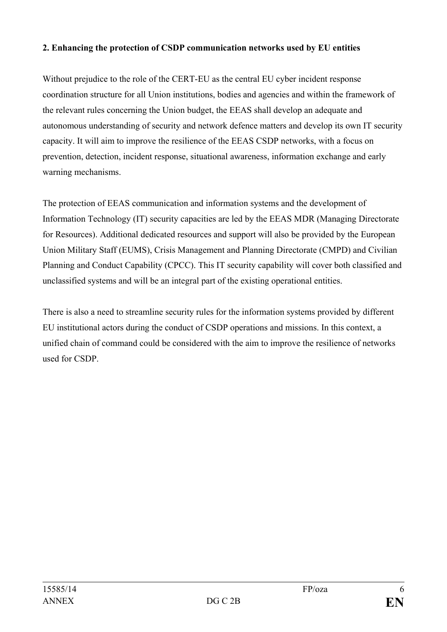#### **2. Enhancing the protection of CSDP communication networks used by EU entities**

Without prejudice to the role of the CERT-EU as the central EU cyber incident response coordination structure for all Union institutions, bodies and agencies and within the framework of the relevant rules concerning the Union budget, the EEAS shall develop an adequate and autonomous understanding of security and network defence matters and develop its own IT security capacity. It will aim to improve the resilience of the EEAS CSDP networks, with a focus on prevention, detection, incident response, situational awareness, information exchange and early warning mechanisms.

The protection of EEAS communication and information systems and the development of Information Technology (IT) security capacities are led by the EEAS MDR (Managing Directorate for Resources). Additional dedicated resources and support will also be provided by the European Union Military Staff (EUMS), Crisis Management and Planning Directorate (CMPD) and Civilian Planning and Conduct Capability (CPCC). This IT security capability will cover both classified and unclassified systems and will be an integral part of the existing operational entities.

There is also a need to streamline security rules for the information systems provided by different EU institutional actors during the conduct of CSDP operations and missions. In this context, a unified chain of command could be considered with the aim to improve the resilience of networks used for CSDP.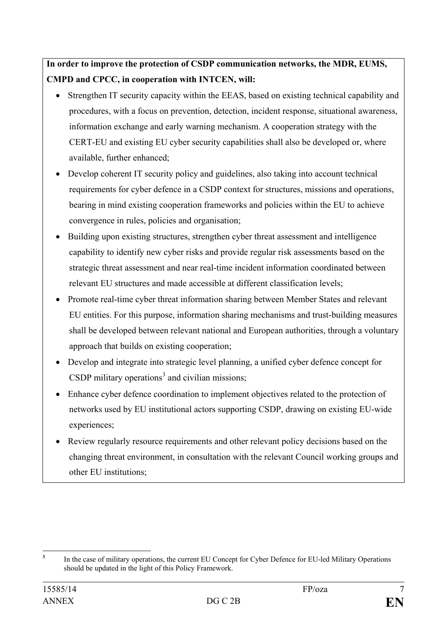**In order to improve the protection of CSDP communication networks, the MDR, EUMS, CMPD and CPCC, in cooperation with INTCEN, will:**

- Strengthen IT security capacity within the EEAS, based on existing technical capability and procedures, with a focus on prevention, detection, incident response, situational awareness, information exchange and early warning mechanism. A cooperation strategy with the CERT-EU and existing EU cyber security capabilities shall also be developed or, where available, further enhanced;
- Develop coherent IT security policy and guidelines, also taking into account technical requirements for cyber defence in a CSDP context for structures, missions and operations, bearing in mind existing cooperation frameworks and policies within the EU to achieve convergence in rules, policies and organisation;
- Building upon existing structures, strengthen cyber threat assessment and intelligence capability to identify new cyber risks and provide regular risk assessments based on the strategic threat assessment and near real-time incident information coordinated between relevant EU structures and made accessible at different classification levels;
- Promote real-time cyber threat information sharing between Member States and relevant EU entities. For this purpose, information sharing mechanisms and trust-building measures shall be developed between relevant national and European authorities, through a voluntary approach that builds on existing cooperation;
- Develop and integrate into strategic level planning, a unified cyber defence concept for CSDP military operations<sup>[3](#page-6-0)</sup> and civilian missions;
- Enhance cyber defence coordination to implement objectives related to the protection of networks used by EU institutional actors supporting CSDP, drawing on existing EU-wide experiences;
- Review regularly resource requirements and other relevant policy decisions based on the changing threat environment, in consultation with the relevant Council working groups and other EU institutions;

<span id="page-6-0"></span>**<sup>3</sup>** In the case of military operations, the current EU Concept for Cyber Defence for EU-led Military Operations should be updated in the light of this Policy Framework.  $\overline{\mathbf{3}}$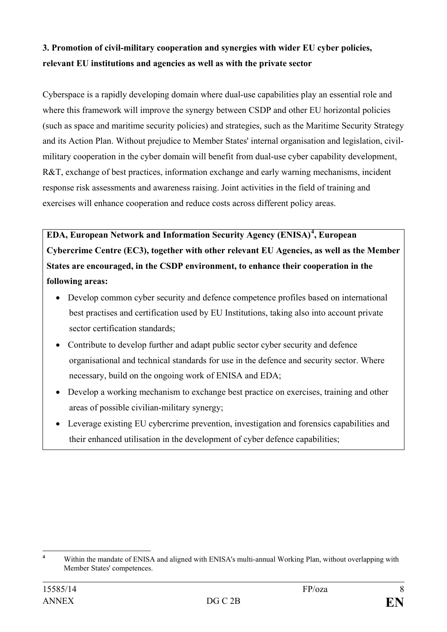## **3. Promotion of civil-military cooperation and synergies with wider EU cyber policies, relevant EU institutions and agencies as well as with the private sector**

Cyberspace is a rapidly developing domain where dual-use capabilities play an essential role and where this framework will improve the synergy between CSDP and other EU horizontal policies (such as space and maritime security policies) and strategies, such as the Maritime Security Strategy and its Action Plan. Without prejudice to Member States' internal organisation and legislation, civilmilitary cooperation in the cyber domain will benefit from dual-use cyber capability development, R&T, exchange of best practices, information exchange and early warning mechanisms, incident response risk assessments and awareness raising. Joint activities in the field of training and exercises will enhance cooperation and reduce costs across different policy areas.

**EDA, European Network and Information Security Agency (ENISA)[4](#page-7-0) , European Cybercrime Centre (EC3), together with other relevant EU Agencies, as well as the Member States are encouraged, in the CSDP environment, to enhance their cooperation in the following areas:** 

- Develop common cyber security and defence competence profiles based on international best practises and certification used by EU Institutions, taking also into account private sector certification standards;
- Contribute to develop further and adapt public sector cyber security and defence organisational and technical standards for use in the defence and security sector. Where necessary, build on the ongoing work of ENISA and EDA;
- Develop a working mechanism to exchange best practice on exercises, training and other areas of possible civilian-military synergy;
- Leverage existing EU cybercrime prevention, investigation and forensics capabilities and their enhanced utilisation in the development of cyber defence capabilities;

<span id="page-7-0"></span>**<sup>4</sup>** Within the mandate of ENISA and aligned with ENISA's multi-annual Working Plan, without overlapping with Member States' competences.  $\overline{4}$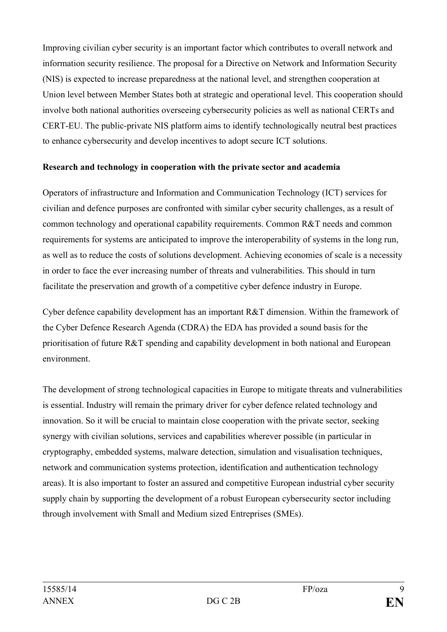Improving civilian cyber security is an important factor which contributes to overall network and information security resilience. The proposal for a Directive on Network and Information Security (NIS) is expected to increase preparedness at the national level, and strengthen cooperation at Union level between Member States both at strategic and operational level. This cooperation should involve both national authorities overseeing cybersecurity policies as well as national CERTs and CERT-EU. The public-private NIS platform aims to identify technologically neutral best practices to enhance cybersecurity and develop incentives to adopt secure ICT solutions.

#### **Research and technology in cooperation with the private sector and academia**

Operators of infrastructure and Information and Communication Technology (ICT) services for civilian and defence purposes are confronted with similar cyber security challenges, as a result of common technology and operational capability requirements. Common R&T needs and common requirements for systems are anticipated to improve the interoperability of systems in the long run, as well as to reduce the costs of solutions development. Achieving economies of scale is a necessity in order to face the ever increasing number of threats and vulnerabilities. This should in turn facilitate the preservation and growth of a competitive cyber defence industry in Europe.

Cyber defence capability development has an important R&T dimension. Within the framework of the Cyber Defence Research Agenda (CDRA) the EDA has provided a sound basis for the prioritisation of future R&T spending and capability development in both national and European environment.

The development of strong technological capacities in Europe to mitigate threats and vulnerabilities is essential. Industry will remain the primary driver for cyber defence related technology and innovation. So it will be crucial to maintain close cooperation with the private sector, seeking synergy with civilian solutions, services and capabilities wherever possible (in particular in cryptography, embedded systems, malware detection, simulation and visualisation techniques, network and communication systems protection, identification and authentication technology areas). It is also important to foster an assured and competitive European industrial cyber security supply chain by supporting the development of a robust European cybersecurity sector including through involvement with Small and Medium sized Entreprises (SMEs).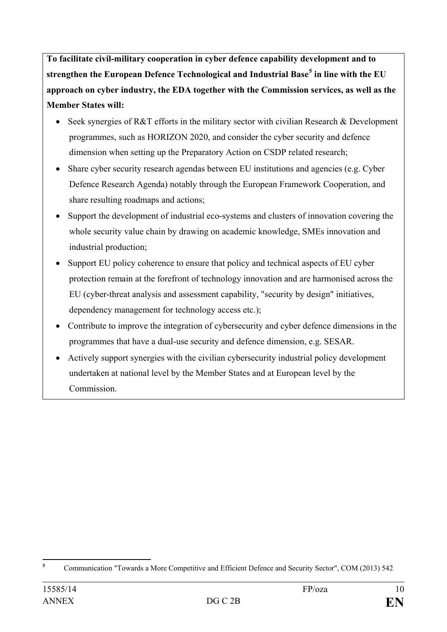**To facilitate civil-military cooperation in cyber defence capability development and to strengthen the European Defence Technological and Industrial Base[5](#page-9-0) in line with the EU approach on cyber industry, the EDA together with the Commission services, as well as the Member States will:**

- Seek synergies of R&T efforts in the military sector with civilian Research & Development programmes, such as HORIZON 2020, and consider the cyber security and defence dimension when setting up the Preparatory Action on CSDP related research;
- Share cyber security research agendas between EU institutions and agencies (e.g. Cyber Defence Research Agenda) notably through the European Framework Cooperation, and share resulting roadmaps and actions;
- Support the development of industrial eco-systems and clusters of innovation covering the whole security value chain by drawing on academic knowledge, SMEs innovation and industrial production;
- Support EU policy coherence to ensure that policy and technical aspects of EU cyber protection remain at the forefront of technology innovation and are harmonised across the EU (cyber-threat analysis and assessment capability, "security by design" initiatives, dependency management for technology access etc.);
- Contribute to improve the integration of cybersecurity and cyber defence dimensions in the programmes that have a dual-use security and defence dimension, e.g. SESAR.
- Actively support synergies with the civilian cybersecurity industrial policy development undertaken at national level by the Member States and at European level by the Commission.

<span id="page-9-0"></span>**<sup>5</sup>** Communication "Towards a More Competitive and Efficient Defence and Security Sector", COM (2013) 542  $\overline{5}$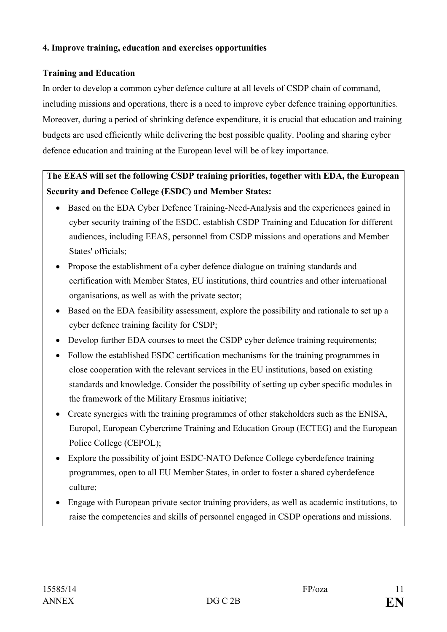#### **4. Improve training, education and exercises opportunities**

## **Training and Education**

In order to develop a common cyber defence culture at all levels of CSDP chain of command, including missions and operations, there is a need to improve cyber defence training opportunities. Moreover, during a period of shrinking defence expenditure, it is crucial that education and training budgets are used efficiently while delivering the best possible quality. Pooling and sharing cyber defence education and training at the European level will be of key importance.

# **The EEAS will set the following CSDP training priorities, together with EDA, the European Security and Defence College (ESDC) and Member States:**

- Based on the EDA Cyber Defence Training-Need-Analysis and the experiences gained in cyber security training of the ESDC, establish CSDP Training and Education for different audiences, including EEAS, personnel from CSDP missions and operations and Member States' officials;
- Propose the establishment of a cyber defence dialogue on training standards and certification with Member States, EU institutions, third countries and other international organisations, as well as with the private sector;
- Based on the EDA feasibility assessment, explore the possibility and rationale to set up a cyber defence training facility for CSDP;
- Develop further EDA courses to meet the CSDP cyber defence training requirements;
- Follow the established ESDC certification mechanisms for the training programmes in close cooperation with the relevant services in the EU institutions, based on existing standards and knowledge. Consider the possibility of setting up cyber specific modules in the framework of the Military Erasmus initiative;
- Create synergies with the training programmes of other stakeholders such as the ENISA, Europol, European Cybercrime Training and Education Group (ECTEG) and the European Police College (CEPOL);
- Explore the possibility of joint ESDC-NATO Defence College cyberdefence training programmes, open to all EU Member States, in order to foster a shared cyberdefence culture;
- Engage with European private sector training providers, as well as academic institutions, to raise the competencies and skills of personnel engaged in CSDP operations and missions.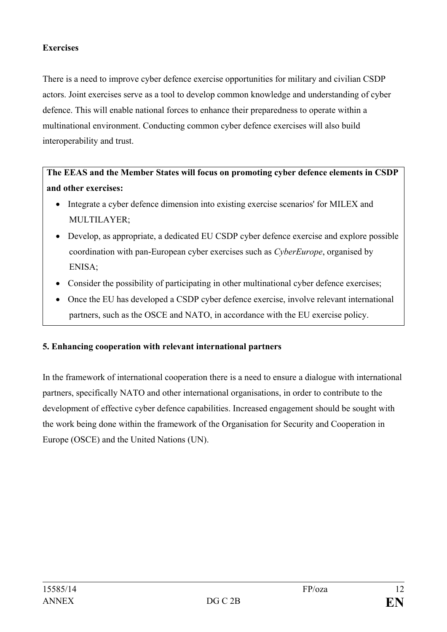### **Exercises**

There is a need to improve cyber defence exercise opportunities for military and civilian CSDP actors. Joint exercises serve as a tool to develop common knowledge and understanding of cyber defence. This will enable national forces to enhance their preparedness to operate within a multinational environment. Conducting common cyber defence exercises will also build interoperability and trust.

**The EEAS and the Member States will focus on promoting cyber defence elements in CSDP and other exercises:**

- Integrate a cyber defence dimension into existing exercise scenarios' for MILEX and MULTILAYER;
- Develop, as appropriate, a dedicated EU CSDP cyber defence exercise and explore possible coordination with pan-European cyber exercises such as *CyberEurope*, organised by ENISA;
- Consider the possibility of participating in other multinational cyber defence exercises;
- Once the EU has developed a CSDP cyber defence exercise, involve relevant international partners, such as the OSCE and NATO, in accordance with the EU exercise policy.

## **5. Enhancing cooperation with relevant international partners**

In the framework of international cooperation there is a need to ensure a dialogue with international partners, specifically NATO and other international organisations, in order to contribute to the development of effective cyber defence capabilities. Increased engagement should be sought with the work being done within the framework of the Organisation for Security and Cooperation in Europe (OSCE) and the United Nations (UN).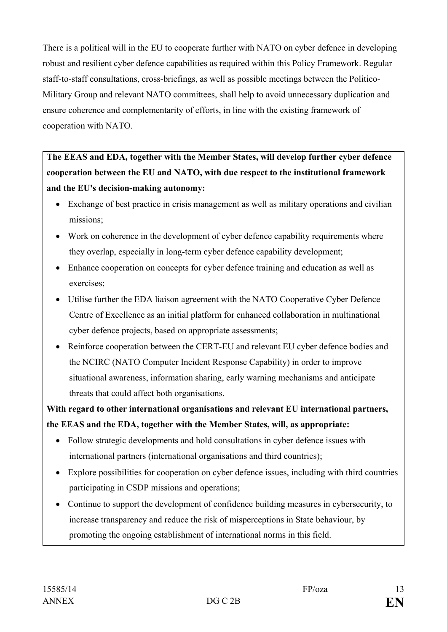There is a political will in the EU to cooperate further with NATO on cyber defence in developing robust and resilient cyber defence capabilities as required within this Policy Framework. Regular staff-to-staff consultations, cross-briefings, as well as possible meetings between the Politico-Military Group and relevant NATO committees, shall help to avoid unnecessary duplication and ensure coherence and complementarity of efforts, in line with the existing framework of cooperation with NATO.

**The EEAS and EDA, together with the Member States, will develop further cyber defence cooperation between the EU and NATO, with due respect to the institutional framework and the EU's decision-making autonomy:**

- Exchange of best practice in crisis management as well as military operations and civilian missions;
- Work on coherence in the development of cyber defence capability requirements where they overlap, especially in long-term cyber defence capability development;
- Enhance cooperation on concepts for cyber defence training and education as well as exercises;
- Utilise further the EDA liaison agreement with the NATO Cooperative Cyber Defence Centre of Excellence as an initial platform for enhanced collaboration in multinational cyber defence projects, based on appropriate assessments;
- Reinforce cooperation between the CERT-EU and relevant EU cyber defence bodies and the NCIRC (NATO Computer Incident Response Capability) in order to improve situational awareness, information sharing, early warning mechanisms and anticipate threats that could affect both organisations.

**With regard to other international organisations and relevant EU international partners, the EEAS and the EDA, together with the Member States, will, as appropriate:**

- Follow strategic developments and hold consultations in cyber defence issues with international partners (international organisations and third countries);
- Explore possibilities for cooperation on cyber defence issues, including with third countries participating in CSDP missions and operations;
- Continue to support the development of confidence building measures in cybersecurity, to increase transparency and reduce the risk of misperceptions in State behaviour, by promoting the ongoing establishment of international norms in this field.